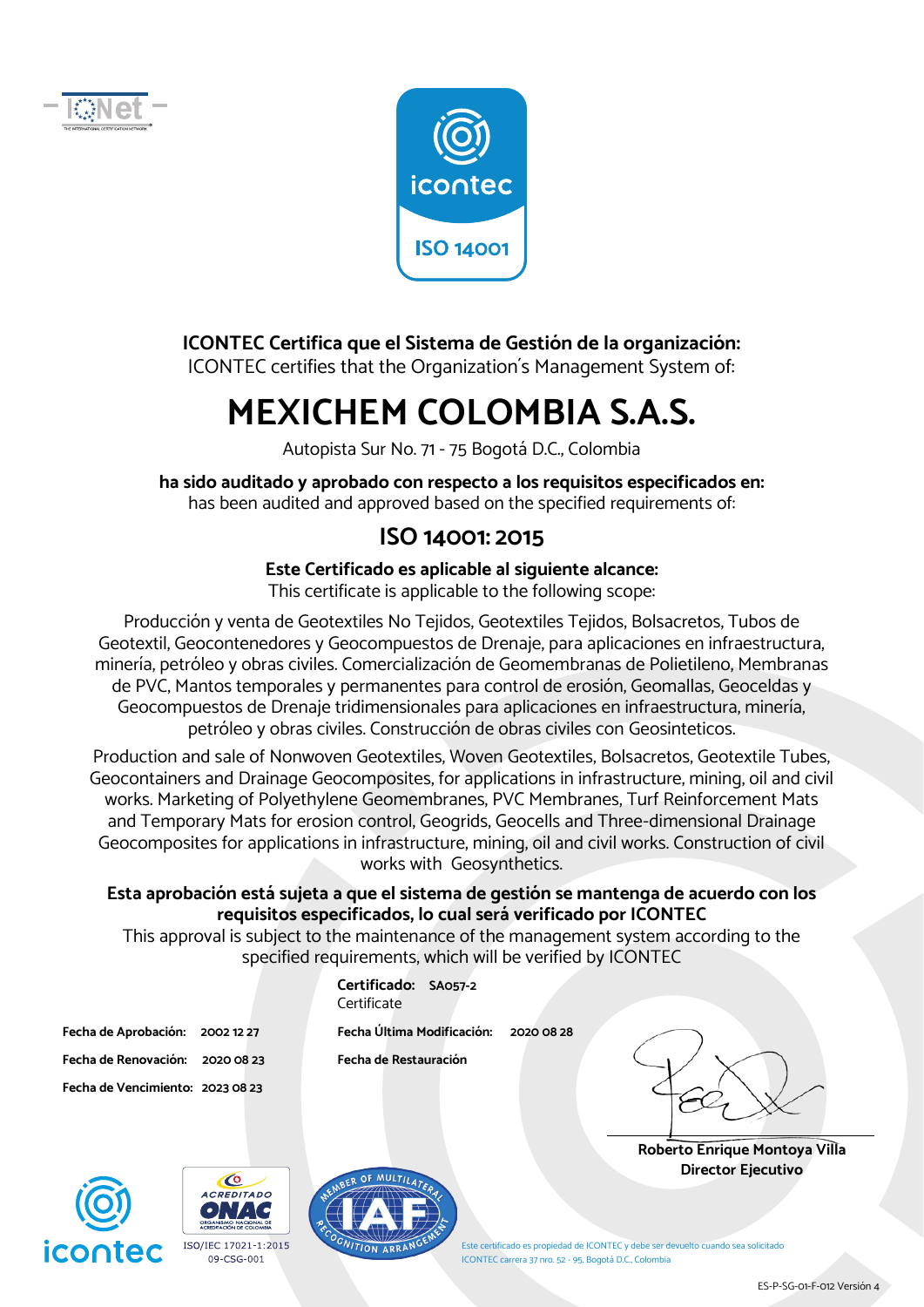



#### **ICONTEC Certifica que el Sistema de Gestión de la organización:**

ICONTEC certifies that the Organization´s Management System of:

# **MEXICHEM COLOMBIA S.A.S.**

Autopista Sur No. 71 - 75 Bogotá D.C., Colombia

**ha sido auditado y aprobado con respecto a los requisitos especificados en:**  has been audited and approved based on the specified requirements of:

### **ISO 14001: 2015**

## **Este Certificado es aplicable al siguiente alcance:**

This certificate is applicable to the following scope:

Producción y venta de Geotextiles No Tejidos, Geotextiles Tejidos, Bolsacretos, Tubos de Geotextil, Geocontenedores y Geocompuestos de Drenaje, para aplicaciones en infraestructura, minería, petróleo y obras civiles. Comercialización de Geomembranas de Polietileno, Membranas de PVC, Mantos temporales y permanentes para control de erosión, Geomallas, Geoceldas y Geocompuestos de Drenaje tridimensionales para aplicaciones en infraestructura, minería, petróleo y obras civiles. Construcción de obras civiles con Geosinteticos.

Production and sale of Nonwoven Geotextiles, Woven Geotextiles, Bolsacretos, Geotextile Tubes, Geocontainers and Drainage Geocomposites, for applications in infrastructure, mining, oil and civil works. Marketing of Polyethylene Geomembranes, PVC Membranes, Turf Reinforcement Mats and Temporary Mats for erosion control, Geogrids, Geocells and Three-dimensional Drainage Geocomposites for applications in infrastructure, mining, oil and civil works. Construction of civil works with Geosynthetics.

#### **Esta aprobación está sujeta a que el sistema de gestión se mantenga de acuerdo con los requisitos especificados, lo cual será verificado por ICONTEC**

This approval is subject to the maintenance of the management system according to the specified requirements, which will be verified by ICONTEC

> **Certificado: SA057-2 Certificate**

**Fecha de Aprobación: 2002 12 27 Fecha Última Modificación: 2020 08 28** 

**Fecha de Renovación: 2020 08 23 Fecha de Restauración** 

**Roberto Enrique Montoya Villa Director Ejecutivo** 



**Fecha de Vencimiento: 2023 08 23** 





Este certificado es propiedad de ICONTEC y debe ser devuelto cuando sea solicitado ICONTEC carrera 37 nro. 52 - 95, Bogotá D.C., Colombia